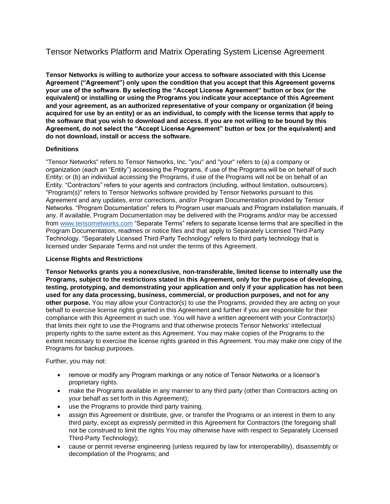# Tensor Networks Platform and Matrix Operating System License Agreement

**Tensor Networks is willing to authorize your access to software associated with this License Agreement ("Agreement") only upon the condition that you accept that this Agreement governs your use of the software. By selecting the "Accept License Agreement" button or box (or the equivalent) or installing or using the Programs you indicate your acceptance of this Agreement and your agreement, as an authorized representative of your company or organization (if being acquired for use by an entity) or as an individual, to comply with the license terms that apply to the software that you wish to download and access. If you are not willing to be bound by this Agreement, do not select the "Accept License Agreement" button or box (or the equivalent) and do not download, install or access the software.**

# **Definitions**

"Tensor Networks" refers to Tensor Networks, Inc. "you" and "your" refers to (a) a company or organization (each an "Entity") accessing the Programs, if use of the Programs will be on behalf of such Entity; or (b) an individual accessing the Programs, if use of the Programs will not be on behalf of an Entity. "Contractors" refers to your agents and contractors (including, without limitation, outsourcers). "Program(s)" refers to Tensor Networks software provided by Tensor Networks pursuant to this Agreement and any updates, error corrections, and/or Program Documentation provided by Tensor Networks. "Program Documentation" refers to Program user manuals and Program installation manuals, if any. If available, Program Documentation may be delivered with the Programs and/or may be accessed from www.tensornetworks.com "Separate Terms" refers to separate license terms that are specified in the Program Documentation, readmes or notice files and that apply to Separately Licensed Third-Party Technology. "Separately Licensed Third-Party Technology" refers to third party technology that is licensed under Separate Terms and not under the terms of this Agreement.

# **License Rights and Restrictions**

**Tensor Networks grants you a nonexclusive, non-transferable, limited license to internally use the Programs, subject to the restrictions stated in this Agreement, only for the purpose of developing, testing, prototyping, and demonstrating your application and only if your application has not been used for any data processing, business, commercial, or production purposes, and not for any other purpose.** You may allow your Contractor(s) to use the Programs, provided they are acting on your behalf to exercise license rights granted in this Agreement and further if you are responsible for their compliance with this Agreement in such use. You will have a written agreement with your Contractor(s) that limits their right to use the Programs and that otherwise protects Tensor Networks' intellectual property rights to the same extent as this Agreement. You may make copies of the Programs to the extent necessary to exercise the license rights granted in this Agreement. You may make one copy of the Programs for backup purposes.

Further, you may not:

- remove or modify any Program markings or any notice of Tensor Networks or a licensor's proprietary rights.
- make the Programs available in any manner to any third party (other than Contractors acting on your behalf as set forth in this Agreement);
- use the Programs to provide third party training.
- assign this Agreement or distribute, give, or transfer the Programs or an interest in them to any third party, except as expressly permitted in this Agreement for Contractors (the foregoing shall not be construed to limit the rights You may otherwise have with respect to Separately Licensed Third-Party Technology);
- cause or permit reverse engineering (unless required by law for interoperability), disassembly or decompilation of the Programs; and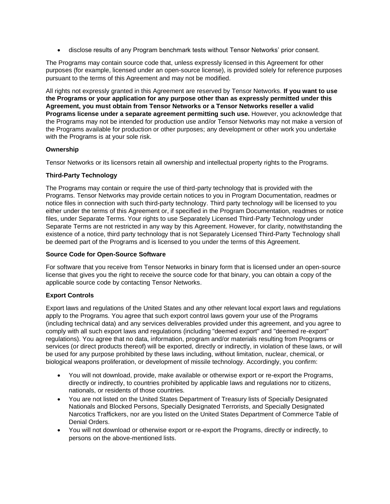• disclose results of any Program benchmark tests without Tensor Networks' prior consent.

The Programs may contain source code that, unless expressly licensed in this Agreement for other purposes (for example, licensed under an open-source license), is provided solely for reference purposes pursuant to the terms of this Agreement and may not be modified.

All rights not expressly granted in this Agreement are reserved by Tensor Networks. **If you want to use the Programs or your application for any purpose other than as expressly permitted under this Agreement, you must obtain from Tensor Networks or a Tensor Networks reseller a valid Programs license under a separate agreement permitting such use.** However, you acknowledge that the Programs may not be intended for production use and/or Tensor Networks may not make a version of the Programs available for production or other purposes; any development or other work you undertake with the Programs is at your sole risk.

# **Ownership**

Tensor Networks or its licensors retain all ownership and intellectual property rights to the Programs.

# **Third-Party Technology**

The Programs may contain or require the use of third-party technology that is provided with the Programs. Tensor Networks may provide certain notices to you in Program Documentation, readmes or notice files in connection with such third-party technology. Third party technology will be licensed to you either under the terms of this Agreement or, if specified in the Program Documentation, readmes or notice files, under Separate Terms. Your rights to use Separately Licensed Third-Party Technology under Separate Terms are not restricted in any way by this Agreement. However, for clarity, notwithstanding the existence of a notice, third party technology that is not Separately Licensed Third-Party Technology shall be deemed part of the Programs and is licensed to you under the terms of this Agreement.

# **Source Code for Open-Source Software**

For software that you receive from Tensor Networks in binary form that is licensed under an open-source license that gives you the right to receive the source code for that binary, you can obtain a copy of the applicable source code by contacting Tensor Networks.

# **Export Controls**

Export laws and regulations of the United States and any other relevant local export laws and regulations apply to the Programs. You agree that such export control laws govern your use of the Programs (including technical data) and any services deliverables provided under this agreement, and you agree to comply with all such export laws and regulations (including "deemed export" and "deemed re-export" regulations). You agree that no data, information, program and/or materials resulting from Programs or services (or direct products thereof) will be exported, directly or indirectly, in violation of these laws, or will be used for any purpose prohibited by these laws including, without limitation, nuclear, chemical, or biological weapons proliferation, or development of missile technology. Accordingly, you confirm:

- You will not download, provide, make available or otherwise export or re-export the Programs, directly or indirectly, to countries prohibited by applicable laws and regulations nor to citizens, nationals, or residents of those countries.
- You are not listed on the United States Department of Treasury lists of Specially Designated Nationals and Blocked Persons, Specially Designated Terrorists, and Specially Designated Narcotics Traffickers, nor are you listed on the United States Department of Commerce Table of Denial Orders.
- You will not download or otherwise export or re-export the Programs, directly or indirectly, to persons on the above-mentioned lists.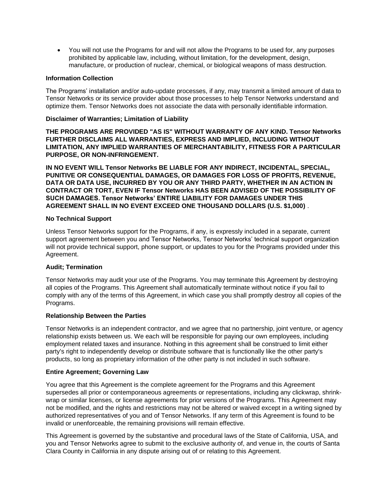• You will not use the Programs for and will not allow the Programs to be used for, any purposes prohibited by applicable law, including, without limitation, for the development, design, manufacture, or production of nuclear, chemical, or biological weapons of mass destruction.

#### **Information Collection**

The Programs' installation and/or auto-update processes, if any, may transmit a limited amount of data to Tensor Networks or its service provider about those processes to help Tensor Networks understand and optimize them. Tensor Networks does not associate the data with personally identifiable information.

### **Disclaimer of Warranties; Limitation of Liability**

**THE PROGRAMS ARE PROVIDED "AS IS" WITHOUT WARRANTY OF ANY KIND. Tensor Networks FURTHER DISCLAIMS ALL WARRANTIES, EXPRESS AND IMPLIED, INCLUDING WITHOUT LIMITATION, ANY IMPLIED WARRANTIES OF MERCHANTABILITY, FITNESS FOR A PARTICULAR PURPOSE, OR NON-INFRINGEMENT.**

**IN NO EVENT WILL Tensor Networks BE LIABLE FOR ANY INDIRECT, INCIDENTAL, SPECIAL, PUNITIVE OR CONSEQUENTIAL DAMAGES, OR DAMAGES FOR LOSS OF PROFITS, REVENUE, DATA OR DATA USE, INCURRED BY YOU OR ANY THIRD PARTY, WHETHER IN AN ACTION IN CONTRACT OR TORT, EVEN IF Tensor Networks HAS BEEN ADVISED OF THE POSSIBILITY OF SUCH DAMAGES. Tensor Networks' ENTIRE LIABILITY FOR DAMAGES UNDER THIS AGREEMENT SHALL IN NO EVENT EXCEED ONE THOUSAND DOLLARS (U.S. \$1,000)** .

#### **No Technical Support**

Unless Tensor Networks support for the Programs, if any, is expressly included in a separate, current support agreement between you and Tensor Networks, Tensor Networks' technical support organization will not provide technical support, phone support, or updates to you for the Programs provided under this Agreement.

#### **Audit; Termination**

Tensor Networks may audit your use of the Programs. You may terminate this Agreement by destroying all copies of the Programs. This Agreement shall automatically terminate without notice if you fail to comply with any of the terms of this Agreement, in which case you shall promptly destroy all copies of the Programs.

#### **Relationship Between the Parties**

Tensor Networks is an independent contractor, and we agree that no partnership, joint venture, or agency relationship exists between us. We each will be responsible for paying our own employees, including employment related taxes and insurance. Nothing in this agreement shall be construed to limit either party's right to independently develop or distribute software that is functionally like the other party's products, so long as proprietary information of the other party is not included in such software.

#### **Entire Agreement; Governing Law**

You agree that this Agreement is the complete agreement for the Programs and this Agreement supersedes all prior or contemporaneous agreements or representations, including any clickwrap, shrinkwrap or similar licenses, or license agreements for prior versions of the Programs. This Agreement may not be modified, and the rights and restrictions may not be altered or waived except in a writing signed by authorized representatives of you and of Tensor Networks. If any term of this Agreement is found to be invalid or unenforceable, the remaining provisions will remain effective.

This Agreement is governed by the substantive and procedural laws of the State of California, USA, and you and Tensor Networks agree to submit to the exclusive authority of, and venue in, the courts of Santa Clara County in California in any dispute arising out of or relating to this Agreement.